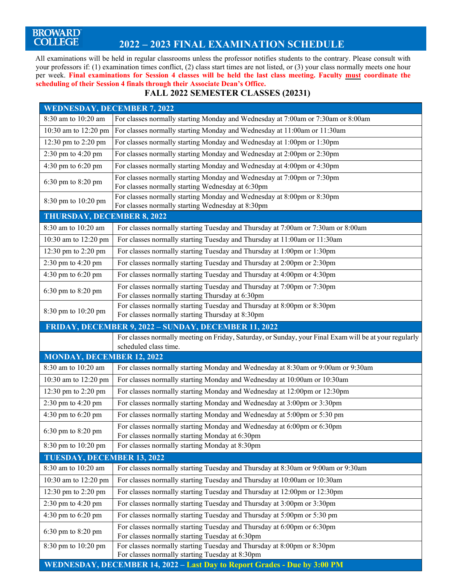# BROWARD<sup>®</sup><br>COLLEGE

### **2022 – 2023 FINAL EXAMINATION SCHEDULE**

All examinations will be held in regular classrooms unless the professor notifies students to the contrary. Please consult with your professors if: (1) examination times conflict, (2) class start times are not listed, or (3) your class normally meets one hour per week. **Final examinations for Session 4 classes will be held the last class meeting. Faculty must coordinate the scheduling of their Session 4 finals through their Associate Dean's Office.** 

#### **FALL 2022 SEMESTER CLASSES (20231)**

| <b>WEDNESDAY, DECEMBER 7, 2022</b> |                                                                                                                                 |  |
|------------------------------------|---------------------------------------------------------------------------------------------------------------------------------|--|
| 8:30 am to 10:20 am                | For classes normally starting Monday and Wednesday at 7:00am or 7:30am or 8:00am                                                |  |
| 10:30 am to 12:20 pm               | For classes normally starting Monday and Wednesday at 11:00am or 11:30am                                                        |  |
| 12:30 pm to 2:20 pm                | For classes normally starting Monday and Wednesday at 1:00pm or 1:30pm                                                          |  |
| 2:30 pm to 4:20 pm                 | For classes normally starting Monday and Wednesday at 2:00pm or 2:30pm                                                          |  |
| 4:30 pm to 6:20 pm                 | For classes normally starting Monday and Wednesday at 4:00pm or 4:30pm                                                          |  |
| 6:30 pm to 8:20 pm                 | For classes normally starting Monday and Wednesday at 7:00pm or 7:30pm<br>For classes normally starting Wednesday at 6:30pm     |  |
| 8:30 pm to 10:20 pm                | For classes normally starting Monday and Wednesday at 8:00pm or 8:30pm<br>For classes normally starting Wednesday at 8:30pm     |  |
| THURSDAY, DECEMBER 8, 2022         |                                                                                                                                 |  |
| 8:30 am to 10:20 am                | For classes normally starting Tuesday and Thursday at 7:00am or 7:30am or 8:00am                                                |  |
| 10:30 am to 12:20 pm               | For classes normally starting Tuesday and Thursday at 11:00am or 11:30am                                                        |  |
| 12:30 pm to 2:20 pm                | For classes normally starting Tuesday and Thursday at 1:00pm or 1:30pm                                                          |  |
| 2:30 pm to 4:20 pm                 | For classes normally starting Tuesday and Thursday at 2:00pm or 2:30pm                                                          |  |
| 4:30 pm to 6:20 pm                 | For classes normally starting Tuesday and Thursday at 4:00pm or 4:30pm                                                          |  |
| 6:30 pm to 8:20 pm                 | For classes normally starting Tuesday and Thursday at 7:00pm or 7:30pm<br>For classes normally starting Thursday at 6:30pm      |  |
| 8:30 pm to 10:20 pm                | For classes normally starting Tuesday and Thursday at 8:00pm or 8:30pm<br>For classes normally starting Thursday at 8:30pm      |  |
|                                    | FRIDAY, DECEMBER 9, 2022 - SUNDAY, DECEMBER 11, 2022                                                                            |  |
|                                    | For classes normally meeting on Friday, Saturday, or Sunday, your Final Exam will be at your regularly<br>scheduled class time. |  |
| <b>MONDAY, DECEMBER 12, 2022</b>   |                                                                                                                                 |  |
| 8:30 am to 10:20 am                | For classes normally starting Monday and Wednesday at 8:30am or 9:00am or 9:30am                                                |  |
| 10:30 am to 12:20 pm               | For classes normally starting Monday and Wednesday at 10:00am or 10:30am                                                        |  |
| 12:30 pm to 2:20 pm                | For classes normally starting Monday and Wednesday at 12:00pm or 12:30pm                                                        |  |
| 2:30 pm to 4:20 pm                 | For classes normally starting Monday and Wednesday at 3:00pm or 3:30pm                                                          |  |
| 4:30 pm to 6:20 pm                 | For classes normally starting Monday and Wednesday at 5:00pm or 5:30 pm                                                         |  |
| 6:30 pm to 8:20 pm                 | For classes normally starting Monday and Wednesday at 6:00pm or 6:30pm<br>For classes normally starting Monday at 6:30pm        |  |
| 8:30 pm to 10:20 pm                | For classes normally starting Monday at 8:30pm                                                                                  |  |
| TUESDAY, DECEMBER 13, 2022         |                                                                                                                                 |  |
| 8:30 am to 10:20 am                | For classes normally starting Tuesday and Thursday at 8:30am or 9:00am or 9:30am                                                |  |
| 10:30 am to 12:20 pm               | For classes normally starting Tuesday and Thursday at 10:00am or 10:30am                                                        |  |
| 12:30 pm to 2:20 pm                | For classes normally starting Tuesday and Thursday at 12:00pm or 12:30pm                                                        |  |
| 2:30 pm to 4:20 pm                 | For classes normally starting Tuesday and Thursday at 3:00pm or 3:30pm                                                          |  |
| 4:30 pm to $6:20$ pm               | For classes normally starting Tuesday and Thursday at 5:00pm or 5:30 pm                                                         |  |
| 6:30 pm to 8:20 pm                 | For classes normally starting Tuesday and Thursday at 6:00pm or 6:30pm<br>For classes normally starting Tuesday at 6:30pm       |  |
| 8:30 pm to 10:20 pm                | For classes normally starting Tuesday and Thursday at 8:00pm or 8:30pm<br>For classes normally starting Tuesday at 8:30pm       |  |
|                                    | WEDNESDAY, DECEMBER 14, 2022 - Last Day to Report Grades - Due by 3:00 PM                                                       |  |